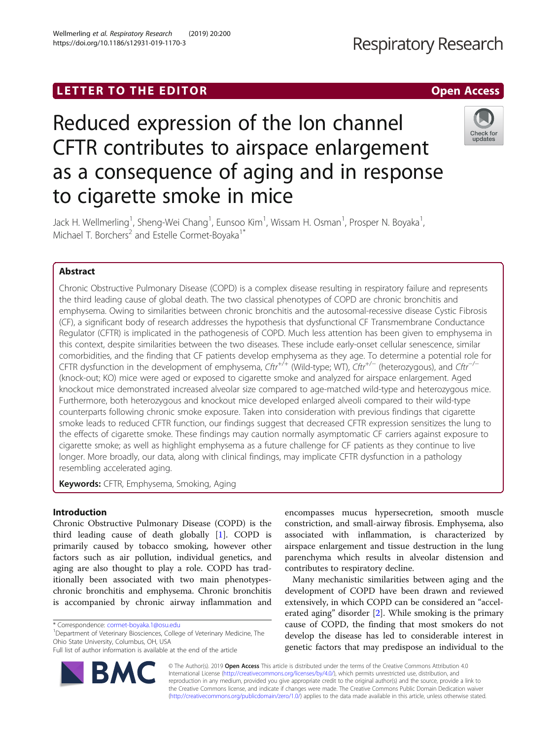# **LETTER TO THE EDITOR CONSIDERING ACCESS**

# Reduced expression of the Ion channel CFTR contributes to airspace enlargement as a consequence of aging and in response to cigarette smoke in mice

Jack H. Wellmerling<sup>1</sup>, Sheng-Wei Chang<sup>1</sup>, Eunsoo Kim<sup>1</sup>, Wissam H. Osman<sup>1</sup>, Prosper N. Boyaka<sup>1</sup> , Michael T. Borchers<sup>2</sup> and Estelle Cormet-Boyaka<sup>1\*</sup>

# Abstract

Chronic Obstructive Pulmonary Disease (COPD) is a complex disease resulting in respiratory failure and represents the third leading cause of global death. The two classical phenotypes of COPD are chronic bronchitis and emphysema. Owing to similarities between chronic bronchitis and the autosomal-recessive disease Cystic Fibrosis (CF), a significant body of research addresses the hypothesis that dysfunctional CF Transmembrane Conductance Regulator (CFTR) is implicated in the pathogenesis of COPD. Much less attention has been given to emphysema in this context, despite similarities between the two diseases. These include early-onset cellular senescence, similar comorbidities, and the finding that CF patients develop emphysema as they age. To determine a potential role for CFTR dysfunction in the development of emphysema,  $Cftr^{+/+}$  (Wild-type; WT),  $Cftr^{+/-}$  (heterozygous), and  $Cftr^{-/-}$ (knock-out; KO) mice were aged or exposed to cigarette smoke and analyzed for airspace enlargement. Aged knockout mice demonstrated increased alveolar size compared to age-matched wild-type and heterozygous mice. Furthermore, both heterozygous and knockout mice developed enlarged alveoli compared to their wild-type counterparts following chronic smoke exposure. Taken into consideration with previous findings that cigarette smoke leads to reduced CFTR function, our findings suggest that decreased CFTR expression sensitizes the lung to the effects of cigarette smoke. These findings may caution normally asymptomatic CF carriers against exposure to cigarette smoke; as well as highlight emphysema as a future challenge for CF patients as they continue to live longer. More broadly, our data, along with clinical findings, may implicate CFTR dysfunction in a pathology resembling accelerated aging.

Keywords: CFTR, Emphysema, Smoking, Aging

# Introduction

Chronic Obstructive Pulmonary Disease (COPD) is the third leading cause of death globally [[1](#page-5-0)]. COPD is primarily caused by tobacco smoking, however other factors such as air pollution, individual genetics, and aging are also thought to play a role. COPD has traditionally been associated with two main phenotypeschronic bronchitis and emphysema. Chronic bronchitis is accompanied by chronic airway inflammation and

\* Correspondence: [cormet-boyaka.1@osu.edu](mailto:cormet-boyaka.1@osu.edu) <sup>1</sup>

<sup>1</sup>Department of Veterinary Biosciences, College of Veterinary Medicine, The Ohio State University, Columbus, OH, USA

encompasses mucus hypersecretion, smooth muscle constriction, and small-airway fibrosis. Emphysema, also associated with inflammation, is characterized by airspace enlargement and tissue destruction in the lung parenchyma which results in alveolar distension and contributes to respiratory decline.

Many mechanistic similarities between aging and the development of COPD have been drawn and reviewed extensively, in which COPD can be considered an "accelerated aging" disorder [[2\]](#page-5-0). While smoking is the primary cause of COPD, the finding that most smokers do not develop the disease has led to considerable interest in genetic factors that may predispose an individual to the

© The Author(s). 2019 Open Access This article is distributed under the terms of the Creative Commons Attribution 4.0 International License [\(http://creativecommons.org/licenses/by/4.0/](http://creativecommons.org/licenses/by/4.0/)), which permits unrestricted use, distribution, and reproduction in any medium, provided you give appropriate credit to the original author(s) and the source, provide a link to the Creative Commons license, and indicate if changes were made. The Creative Commons Public Domain Dedication waiver [\(http://creativecommons.org/publicdomain/zero/1.0/](http://creativecommons.org/publicdomain/zero/1.0/)) applies to the data made available in this article, unless otherwise stated.







Full list of author information is available at the end of the article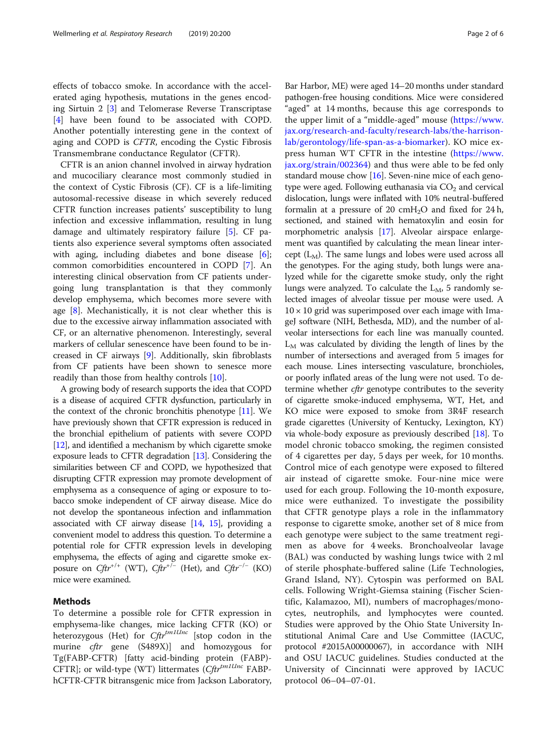effects of tobacco smoke. In accordance with the accelerated aging hypothesis, mutations in the genes encoding Sirtuin 2 [\[3](#page-5-0)] and Telomerase Reverse Transcriptase [[4\]](#page-5-0) have been found to be associated with COPD. Another potentially interesting gene in the context of aging and COPD is CFTR, encoding the Cystic Fibrosis Transmembrane conductance Regulator (CFTR).

CFTR is an anion channel involved in airway hydration and mucociliary clearance most commonly studied in the context of Cystic Fibrosis (CF). CF is a life-limiting autosomal-recessive disease in which severely reduced CFTR function increases patients' susceptibility to lung infection and excessive inflammation, resulting in lung damage and ultimately respiratory failure [\[5](#page-5-0)]. CF patients also experience several symptoms often associated with aging, including diabetes and bone disease [\[6](#page-5-0)]; common comorbidities encountered in COPD [[7\]](#page-5-0). An interesting clinical observation from CF patients undergoing lung transplantation is that they commonly develop emphysema, which becomes more severe with age  $[8]$  $[8]$ . Mechanistically, it is not clear whether this is due to the excessive airway inflammation associated with CF, or an alternative phenomenon. Interestingly, several markers of cellular senescence have been found to be increased in CF airways [[9\]](#page-5-0). Additionally, skin fibroblasts from CF patients have been shown to senesce more readily than those from healthy controls [\[10](#page-5-0)].

A growing body of research supports the idea that COPD is a disease of acquired CFTR dysfunction, particularly in the context of the chronic bronchitis phenotype [\[11\]](#page-5-0). We have previously shown that CFTR expression is reduced in the bronchial epithelium of patients with severe COPD [[12](#page-5-0)], and identified a mechanism by which cigarette smoke exposure leads to CFTR degradation [\[13\]](#page-5-0). Considering the similarities between CF and COPD, we hypothesized that disrupting CFTR expression may promote development of emphysema as a consequence of aging or exposure to tobacco smoke independent of CF airway disease. Mice do not develop the spontaneous infection and inflammation associated with CF airway disease [\[14](#page-5-0), [15](#page-5-0)], providing a convenient model to address this question. To determine a potential role for CFTR expression levels in developing emphysema, the effects of aging and cigarette smoke exposure on  $Cftr^{+/+}$  (WT),  $Cftr^{+/-}$  (Het), and  $Cftr^{-/-}$  (KO) mice were examined.

## Methods

To determine a possible role for CFTR expression in emphysema-like changes, mice lacking CFTR (KO) or heterozygous (Het) for Cftr<sup>tm1Unc</sup> [stop codon in the murine *cftr* gene (S489X)] and homozygous for Tg(FABP-CFTR) [fatty acid-binding protein (FABP)- CFTR]; or wild-type (WT) littermates (Cftr<sup>tm1Unc</sup> FABPhCFTR-CFTR bitransgenic mice from Jackson Laboratory,

Bar Harbor, ME) were aged 14–20 months under standard pathogen-free housing conditions. Mice were considered "aged" at 14 months, because this age corresponds to the upper limit of a "middle-aged" mouse ([https://www.](https://www.jax.org/research-and-faculty/research-labs/the-harrison-lab/gerontology/life-span-as-a-biomarker) [jax.org/research-and-faculty/research-labs/the-harrison](https://www.jax.org/research-and-faculty/research-labs/the-harrison-lab/gerontology/life-span-as-a-biomarker)[lab/gerontology/life-span-as-a-biomarker](https://www.jax.org/research-and-faculty/research-labs/the-harrison-lab/gerontology/life-span-as-a-biomarker)). KO mice express human WT CFTR in the intestine ([https://www.](https://www.jax.org/strain/002364) [jax.org/strain/002364\)](https://www.jax.org/strain/002364) and thus were able to be fed only standard mouse chow [\[16\]](#page-5-0). Seven-nine mice of each genotype were aged. Following euthanasia via  $CO<sub>2</sub>$  and cervical dislocation, lungs were inflated with 10% neutral-buffered formalin at a pressure of 20 cmH<sub>2</sub>O and fixed for 24 h, sectioned, and stained with hematoxylin and eosin for morphometric analysis [\[17\]](#page-5-0). Alveolar airspace enlargement was quantified by calculating the mean linear intercept  $(L_M)$ . The same lungs and lobes were used across all the genotypes. For the aging study, both lungs were analyzed while for the cigarette smoke study, only the right lungs were analyzed. To calculate the  $L_M$ , 5 randomly selected images of alveolar tissue per mouse were used. A  $10 \times 10$  grid was superimposed over each image with ImageJ software (NIH, Bethesda, MD), and the number of alveolar intersections for each line was manually counted.  $L_M$  was calculated by dividing the length of lines by the number of intersections and averaged from 5 images for each mouse. Lines intersecting vasculature, bronchioles, or poorly inflated areas of the lung were not used. To determine whether *cftr* genotype contributes to the severity of cigarette smoke-induced emphysema, WT, Het, and KO mice were exposed to smoke from 3R4F research grade cigarettes (University of Kentucky, Lexington, KY) via whole-body exposure as previously described [[18](#page-5-0)]. To model chronic tobacco smoking, the regimen consisted of 4 cigarettes per day, 5 days per week, for 10 months. Control mice of each genotype were exposed to filtered air instead of cigarette smoke. Four-nine mice were used for each group. Following the 10-month exposure, mice were euthanized. To investigate the possibility that CFTR genotype plays a role in the inflammatory response to cigarette smoke, another set of 8 mice from each genotype were subject to the same treatment regimen as above for 4 weeks. Bronchoalveolar lavage (BAL) was conducted by washing lungs twice with 2 ml of sterile phosphate-buffered saline (Life Technologies, Grand Island, NY). Cytospin was performed on BAL cells. Following Wright-Giemsa staining (Fischer Scientific, Kalamazoo, MI), numbers of macrophages/monocytes, neutrophils, and lymphocytes were counted. Studies were approved by the Ohio State University Institutional Animal Care and Use Committee (IACUC, protocol #2015A00000067), in accordance with NIH and OSU IACUC guidelines. Studies conducted at the University of Cincinnati were approved by IACUC protocol 06–04–07-01.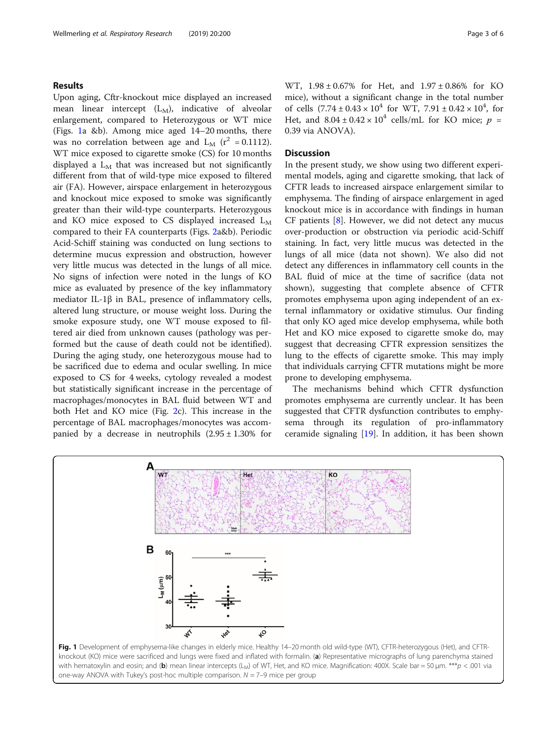## Results

Upon aging, Cftr-knockout mice displayed an increased mean linear intercept  $(L_M)$ , indicative of alveolar enlargement, compared to Heterozygous or WT mice (Figs. 1a &b). Among mice aged 14–20 months, there was no correlation between age and  $L_M$  ( $r^2$  = 0.1112). WT mice exposed to cigarette smoke (CS) for 10 months displayed a  $L<sub>M</sub>$  that was increased but not significantly different from that of wild-type mice exposed to filtered air (FA). However, airspace enlargement in heterozygous and knockout mice exposed to smoke was significantly greater than their wild-type counterparts. Heterozygous and KO mice exposed to CS displayed increased  $L_M$ compared to their FA counterparts (Figs. [2](#page-3-0)a&b). Periodic Acid-Schiff staining was conducted on lung sections to determine mucus expression and obstruction, however very little mucus was detected in the lungs of all mice. No signs of infection were noted in the lungs of KO mice as evaluated by presence of the key inflammatory mediator IL-1β in BAL, presence of inflammatory cells, altered lung structure, or mouse weight loss. During the smoke exposure study, one WT mouse exposed to filtered air died from unknown causes (pathology was performed but the cause of death could not be identified). During the aging study, one heterozygous mouse had to be sacrificed due to edema and ocular swelling. In mice exposed to CS for 4 weeks, cytology revealed a modest but statistically significant increase in the percentage of macrophages/monocytes in BAL fluid between WT and both Het and KO mice (Fig. [2](#page-3-0)c). This increase in the percentage of BAL macrophages/monocytes was accompanied by a decrease in neutrophils  $(2.95 \pm 1.30\%$  for

WT, 1.98 ± 0.67% for Het, and 1.97 ± 0.86% for KO mice), without a significant change in the total number of cells  $(7.74 \pm 0.43 \times 10^4$  for WT,  $7.91 \pm 0.42 \times 10^4$ , for Het, and  $8.04 \pm 0.42 \times 10^4$  cells/mL for KO mice;  $p =$ 0.39 via ANOVA).

## **Discussion**

In the present study, we show using two different experimental models, aging and cigarette smoking, that lack of CFTR leads to increased airspace enlargement similar to emphysema. The finding of airspace enlargement in aged knockout mice is in accordance with findings in human CF patients  $[8]$  $[8]$ . However, we did not detect any mucus over-production or obstruction via periodic acid-Schiff staining. In fact, very little mucus was detected in the lungs of all mice (data not shown). We also did not detect any differences in inflammatory cell counts in the BAL fluid of mice at the time of sacrifice (data not shown), suggesting that complete absence of CFTR promotes emphysema upon aging independent of an external inflammatory or oxidative stimulus. Our finding that only KO aged mice develop emphysema, while both Het and KO mice exposed to cigarette smoke do, may suggest that decreasing CFTR expression sensitizes the lung to the effects of cigarette smoke. This may imply that individuals carrying CFTR mutations might be more prone to developing emphysema.

The mechanisms behind which CFTR dysfunction promotes emphysema are currently unclear. It has been suggested that CFTR dysfunction contributes to emphysema through its regulation of pro-inflammatory ceramide signaling  $[19]$  $[19]$ . In addition, it has been shown

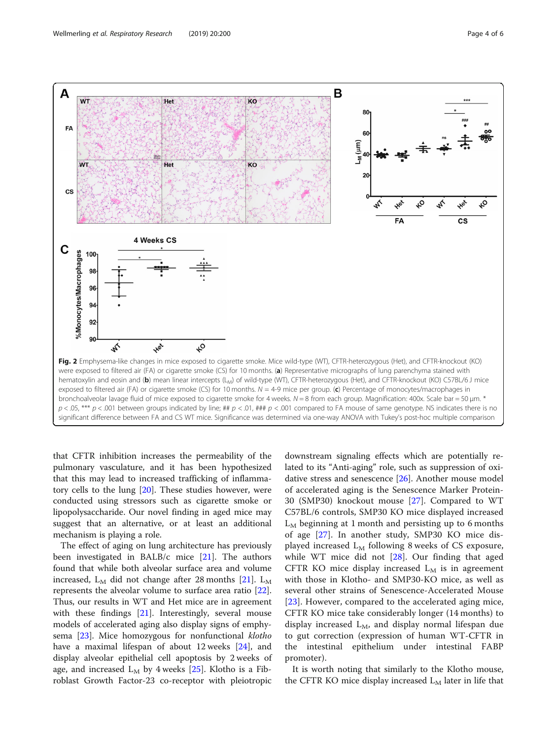<span id="page-3-0"></span>

that CFTR inhibition increases the permeability of the pulmonary vasculature, and it has been hypothesized that this may lead to increased trafficking of inflammatory cells to the lung [[20\]](#page-5-0). These studies however, were conducted using stressors such as cigarette smoke or lipopolysaccharide. Our novel finding in aged mice may suggest that an alternative, or at least an additional mechanism is playing a role.

The effect of aging on lung architecture has previously been investigated in BALB/c mice [[21](#page-5-0)]. The authors found that while both alveolar surface area and volume increased,  $L_M$  did not change after 28 months [[21\]](#page-5-0).  $L_M$ represents the alveolar volume to surface area ratio [\[22](#page-5-0)]. Thus, our results in WT and Het mice are in agreement with these findings [[21](#page-5-0)]. Interestingly, several mouse models of accelerated aging also display signs of emphy-sema [\[23](#page-5-0)]. Mice homozygous for nonfunctional klotho have a maximal lifespan of about 12 weeks [[24\]](#page-5-0), and display alveolar epithelial cell apoptosis by 2 weeks of age, and increased  $L_M$  by 4 weeks [\[25\]](#page-5-0). Klotho is a Fibroblast Growth Factor-23 co-receptor with pleiotropic

downstream signaling effects which are potentially related to its "Anti-aging" role, such as suppression of oxidative stress and senescence [[26](#page-5-0)]. Another mouse model of accelerated aging is the Senescence Marker Protein-30 (SMP30) knockout mouse [[27](#page-5-0)]. Compared to WT C57BL/6 controls, SMP30 KO mice displayed increased  $L_M$  beginning at 1 month and persisting up to 6 months of age [[27\]](#page-5-0). In another study, SMP30 KO mice displayed increased  $L<sub>M</sub>$  following 8 weeks of CS exposure, while WT mice did not [\[28](#page-5-0)]. Our finding that aged CFTR KO mice display increased  $L<sub>M</sub>$  is in agreement with those in Klotho- and SMP30-KO mice, as well as several other strains of Senescence-Accelerated Mouse [[23\]](#page-5-0). However, compared to the accelerated aging mice, CFTR KO mice take considerably longer (14 months) to display increased  $L_M$ , and display normal lifespan due to gut correction (expression of human WT-CFTR in the intestinal epithelium under intestinal FABP promoter).

It is worth noting that similarly to the Klotho mouse, the CFTR KO mice display increased  $L_M$  later in life that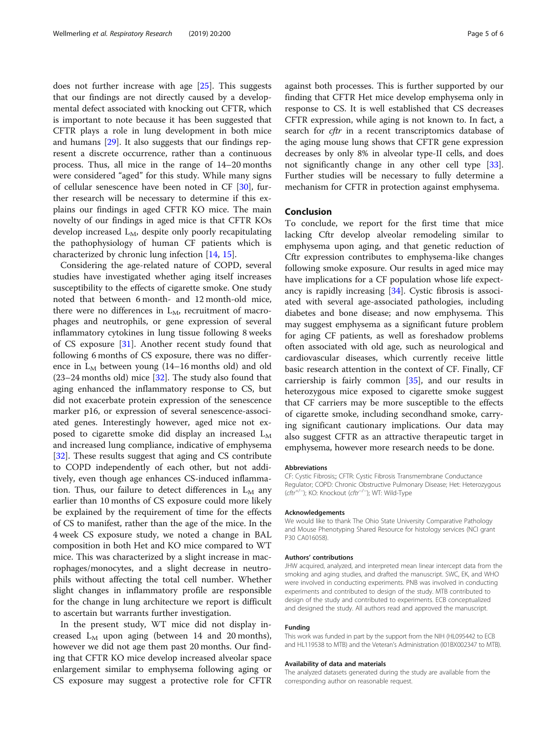does not further increase with age [[25\]](#page-5-0). This suggests that our findings are not directly caused by a developmental defect associated with knocking out CFTR, which is important to note because it has been suggested that CFTR plays a role in lung development in both mice and humans [[29](#page-5-0)]. It also suggests that our findings represent a discrete occurrence, rather than a continuous process. Thus, all mice in the range of 14–20 months were considered "aged" for this study. While many signs of cellular senescence have been noted in CF [[30\]](#page-5-0), further research will be necessary to determine if this explains our findings in aged CFTR KO mice. The main novelty of our findings in aged mice is that CFTR KOs develop increased  $L_M$ , despite only poorly recapitulating the pathophysiology of human CF patients which is characterized by chronic lung infection [\[14,](#page-5-0) [15\]](#page-5-0).

Considering the age-related nature of COPD, several studies have investigated whether aging itself increases susceptibility to the effects of cigarette smoke. One study noted that between 6 month- and 12 month-old mice, there were no differences in  $L_M$ , recruitment of macrophages and neutrophils, or gene expression of several inflammatory cytokines in lung tissue following 8 weeks of CS exposure [\[31](#page-5-0)]. Another recent study found that following 6 months of CS exposure, there was no difference in  $L_M$  between young (14–16 months old) and old (23–24 months old) mice [\[32](#page-5-0)]. The study also found that aging enhanced the inflammatory response to CS, but did not exacerbate protein expression of the senescence marker p16, or expression of several senescence-associated genes. Interestingly however, aged mice not exposed to cigarette smoke did display an increased  $L_M$ and increased lung compliance, indicative of emphysema [[32\]](#page-5-0). These results suggest that aging and CS contribute to COPD independently of each other, but not additively, even though age enhances CS-induced inflammation. Thus, our failure to detect differences in  $L<sub>M</sub>$  any earlier than 10 months of CS exposure could more likely be explained by the requirement of time for the effects of CS to manifest, rather than the age of the mice. In the 4 week CS exposure study, we noted a change in BAL composition in both Het and KO mice compared to WT mice. This was characterized by a slight increase in macrophages/monocytes, and a slight decrease in neutrophils without affecting the total cell number. Whether slight changes in inflammatory profile are responsible for the change in lung architecture we report is difficult to ascertain but warrants further investigation.

In the present study, WT mice did not display increased  $L_M$  upon aging (between 14 and 20 months), however we did not age them past 20 months. Our finding that CFTR KO mice develop increased alveolar space enlargement similar to emphysema following aging or CS exposure may suggest a protective role for CFTR

against both processes. This is further supported by our finding that CFTR Het mice develop emphysema only in response to CS. It is well established that CS decreases CFTR expression, while aging is not known to. In fact, a search for *cftr* in a recent transcriptomics database of the aging mouse lung shows that CFTR gene expression decreases by only 8% in alveolar type-II cells, and does not significantly change in any other cell type [\[33](#page-5-0)]. Further studies will be necessary to fully determine a mechanism for CFTR in protection against emphysema.

## Conclusion

To conclude, we report for the first time that mice lacking Cftr develop alveolar remodeling similar to emphysema upon aging, and that genetic reduction of Cftr expression contributes to emphysema-like changes following smoke exposure. Our results in aged mice may have implications for a CF population whose life expectancy is rapidly increasing [[34](#page-5-0)]. Cystic fibrosis is associated with several age-associated pathologies, including diabetes and bone disease; and now emphysema. This may suggest emphysema as a significant future problem for aging CF patients, as well as foreshadow problems often associated with old age, such as neurological and cardiovascular diseases, which currently receive little basic research attention in the context of CF. Finally, CF carriership is fairly common [\[35](#page-5-0)], and our results in heterozygous mice exposed to cigarette smoke suggest that CF carriers may be more susceptible to the effects of cigarette smoke, including secondhand smoke, carrying significant cautionary implications. Our data may also suggest CFTR as an attractive therapeutic target in emphysema, however more research needs to be done.

#### Abbreviations

CF: Cystic Fibrosis;; CFTR: Cystic Fibrosis Transmembrane Conductance Regulator; COPD: Chronic Obstructive Pulmonary Disease; Het: Heterozygous (cftr+/<sup>−</sup> ); KO: Knockout (cftr−/<sup>−</sup> ); WT: Wild-Type

#### Acknowledgements

We would like to thank The Ohio State University Comparative Pathology and Mouse Phenotyping Shared Resource for histology services (NCI grant P30 CA016058).

#### Authors' contributions

JHW acquired, analyzed, and interpreted mean linear intercept data from the smoking and aging studies, and drafted the manuscript. SWC, EK, and WHO were involved in conducting experiments. PNB was involved in conducting experiments and contributed to design of the study. MTB contributed to design of the study and contributed to experiments. ECB conceptualized and designed the study. All authors read and approved the manuscript.

#### Funding

This work was funded in part by the support from the NIH (HL095442 to ECB and HL119538 to MTB) and the Veteran's Administration (I01BX002347 to MTB).

#### Availability of data and materials

The analyzed datasets generated during the study are available from the corresponding author on reasonable request.